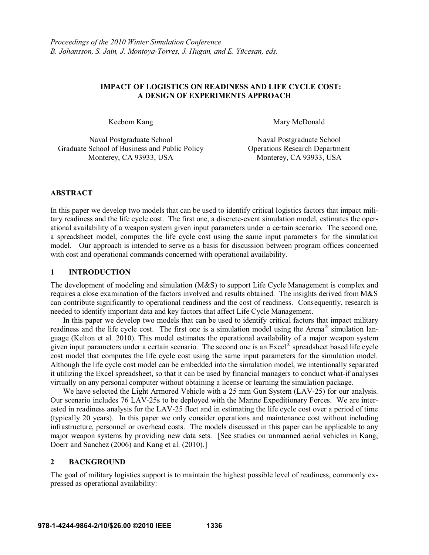## **IMPACT OF LOGISTICS ON READINESS AND LIFE CYCLE COST: A DESIGN OF EXPERIMENTS APPROACH**

Naval Postgraduate School Naval Postgraduate School Graduate School of Business and Public Policy Monterey, CA 93933, USA

Keebom Kang Mary McDonald

Operations Research Department Monterey, CA 93933, USA

## **ABSTRACT**

In this paper we develop two models that can be used to identify critical logistics factors that impact military readiness and the life cycle cost. The first one, a discrete-event simulation model, estimates the operational availability of a weapon system given input parameters under a certain scenario. The second one, a spreadsheet model, computes the life cycle cost using the same input parameters for the simulation model. Our approach is intended to serve as a basis for discussion between program offices concerned with cost and operational commands concerned with operational availability.

## **1 INTRODUCTION**

The development of modeling and simulation (M&S) to support Life Cycle Management is complex and requires a close examination of the factors involved and results obtained. The insights derived from M&S can contribute significantly to operational readiness and the cost of readiness. Consequently, research is needed to identify important data and key factors that affect Life Cycle Management.

 In this paper we develop two models that can be used to identify critical factors that impact military readiness and the life cycle cost. The first one is a simulation model using the Arena® simulation language (Kelton et al. 2010). This model estimates the operational availability of a major weapon system given input parameters under a certain scenario. The second one is an Excel® spreadsheet based life cycle cost model that computes the life cycle cost using the same input parameters for the simulation model. Although the life cycle cost model can be embedded into the simulation model, we intentionally separated it utilizing the Excel spreadsheet, so that it can be used by financial managers to conduct what-if analyses virtually on any personal computer without obtaining a license or learning the simulation package.

 We have selected the Light Armored Vehicle with a 25 mm Gun System (LAV-25) for our analysis. Our scenario includes 76 LAV-25s to be deployed with the Marine Expeditionary Forces. We are interested in readiness analysis for the LAV-25 fleet and in estimating the life cycle cost over a period of time (typically 20 years). In this paper we only consider operations and maintenance cost without including infrastructure, personnel or overhead costs. The models discussed in this paper can be applicable to any major weapon systems by providing new data sets. [See studies on unmanned aerial vehicles in Kang, Doerr and Sanchez (2006) and Kang et al. (2010).]

## **2 BACKGROUND**

The goal of military logistics support is to maintain the highest possible level of readiness, commonly expressed as operational availability: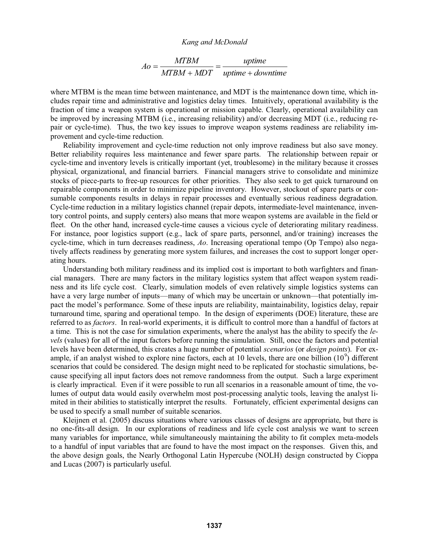$$
Ao = \frac{MTBM}{MTBM + MDT} = \frac{uptime}{uptime + downtime}
$$

where MTBM is the mean time between maintenance, and MDT is the maintenance down time, which includes repair time and administrative and logistics delay times. Intuitively, operational availability is the fraction of time a weapon system is operational or mission capable. Clearly, operational availability can be improved by increasing MTBM (i.e., increasing reliability) and/or decreasing MDT (i.e., reducing repair or cycle-time). Thus, the two key issues to improve weapon systems readiness are reliability improvement and cycle-time reduction.

 Reliability improvement and cycle-time reduction not only improve readiness but also save money. Better reliability requires less maintenance and fewer spare parts. The relationship between repair or cycle-time and inventory levels is critically important (yet, troublesome) in the military because it crosses physical, organizational, and financial barriers. Financial managers strive to consolidate and minimize stocks of piece-parts to free-up resources for other priorities. They also seek to get quick turnaround on repairable components in order to minimize pipeline inventory. However, stockout of spare parts or consumable components results in delays in repair processes and eventually serious readiness degradation. Cycle-time reduction in a military logistics channel (repair depots, intermediate-level maintenance, inventory control points, and supply centers) also means that more weapon systems are available in the field or fleet. On the other hand, increased cycle-time causes a vicious cycle of deteriorating military readiness. For instance, poor logistics support (e.g., lack of spare parts, personnel, and/or training) increases the cycle-time, which in turn decreases readiness, *Ao*. Increasing operational tempo (Op Tempo) also negatively affects readiness by generating more system failures, and increases the cost to support longer operating hours.

 Understanding both military readiness and its implied cost is important to both warfighters and financial managers. There are many factors in the military logistics system that affect weapon system readiness and its life cycle cost. Clearly, simulation models of even relatively simple logistics systems can have a very large number of inputs—many of which may be uncertain or unknown—that potentially impact the model's performance. Some of these inputs are reliability, maintainability, logistics delay, repair turnaround time, sparing and operational tempo. In the design of experiments (DOE) literature, these are referred to as *factors*. In real-world experiments, it is difficult to control more than a handful of factors at a time. This is not the case for simulation experiments, where the analyst has the ability to specify the *levels* (values) for all of the input factors before running the simulation. Still, once the factors and potential levels have been determined, this creates a huge number of potential *scenarios* (or *design points*). For example, if an analyst wished to explore nine factors, each at 10 levels, there are one billion  $(10^9)$  different scenarios that could be considered. The design might need to be replicated for stochastic simulations, because specifying all input factors does not remove randomness from the output. Such a large experiment is clearly impractical. Even if it were possible to run all scenarios in a reasonable amount of time, the volumes of output data would easily overwhelm most post-processing analytic tools, leaving the analyst limited in their abilities to statistically interpret the results. Fortunately, efficient experimental designs can be used to specify a small number of suitable scenarios.

 Kleijnen et al. (2005) discuss situations where various classes of designs are appropriate, but there is no one-fits-all design. In our explorations of readiness and life cycle cost analysis we want to screen many variables for importance, while simultaneously maintaining the ability to fit complex meta-models to a handful of input variables that are found to have the most impact on the responses. Given this, and the above design goals, the Nearly Orthogonal Latin Hypercube (NOLH) design constructed by Cioppa and Lucas (2007) is particularly useful.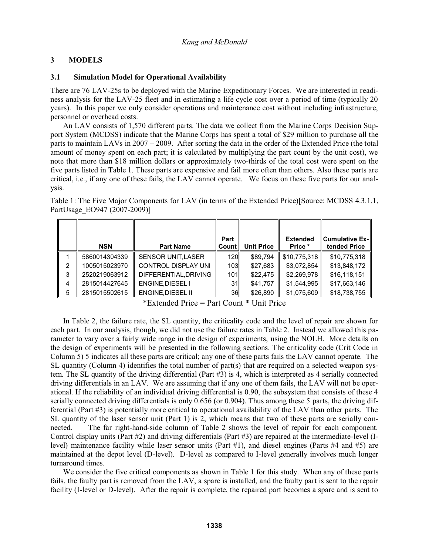# **3 MODELS**

## **3.1 Simulation Model for Operational Availability**

There are 76 LAV-25s to be deployed with the Marine Expeditionary Forces. We are interested in readiness analysis for the LAV-25 fleet and in estimating a life cycle cost over a period of time (typically 20 years). In this paper we only consider operations and maintenance cost without including infrastructure, personnel or overhead costs.

 An LAV consists of 1,570 different parts. The data we collect from the Marine Corps Decision Support System (MCDSS) indicate that the Marine Corps has spent a total of \$29 million to purchase all the parts to maintain LAVs in  $2007 - 2009$ . After sorting the data in the order of the Extended Price (the total amount of money spent on each part; it is calculated by multiplying the part count by the unit cost), we note that more than \$18 million dollars or approximately two-thirds of the total cost were spent on the five parts listed in Table 1. These parts are expensive and fail more often than others. Also these parts are critical, i.e., if any one of these fails, the LAV cannot operate. We focus on these five parts for our analysis.

Table 1: The Five Major Components for LAV (in terms of the Extended Price)[Source: MCDSS 4.3.1.1, PartUsage\_EO947 (2007-2009)]

|   | <b>NSN</b>    | <b>Part Name</b>           | Part<br>Count I  | <b>Unit Price</b> | <b>Extended</b><br>Price * | <b>Cumulative Ex-</b><br>tended Price |
|---|---------------|----------------------------|------------------|-------------------|----------------------------|---------------------------------------|
|   | 5860014304339 | <b>SENSOR UNIT.LASER</b>   | 120 <sub>l</sub> | \$89.794          | \$10,775,318               | \$10,775,318                          |
| 2 | 1005015023970 | <b>CONTROL DISPLAY UNI</b> | 103 <sub>l</sub> | \$27,683          | \$3,072,854                | \$13,848,172                          |
| 3 | 2520219063912 | DIFFERENTIAL, DRIVING      | 101              | \$22,475          | \$2,269,978                | \$16,118,151                          |
| 4 | 2815014427645 | ENGINE, DIESEL I           | 31               | \$41,757          | \$1,544,995                | \$17,663,146                          |
| 5 | 2815015502615 | <b>ENGINE.DIESEL II</b>    | 36               | \$26,890          | \$1,075,609                | \$18,738,755                          |

\*Extended Price = Part Count \* Unit Price

 In Table 2, the failure rate, the SL quantity, the criticality code and the level of repair are shown for each part. In our analysis, though, we did not use the failure rates in Table 2. Instead we allowed this parameter to vary over a fairly wide range in the design of experiments, using the NOLH. More details on the design of experiments will be presented in the following sections. The criticality code (Crit Code in Column 5) 5 indicates all these parts are critical; any one of these parts fails the LAV cannot operate. The SL quantity (Column 4) identifies the total number of part(s) that are required on a selected weapon system. The SL quantity of the driving differential (Part #3) is 4, which is interpreted as 4 serially connected driving differentials in an LAV. We are assuming that if any one of them fails, the LAV will not be operational. If the reliability of an individual driving differential is 0.90, the subsystem that consists of these 4 serially connected driving differentials is only 0.656 (or 0.904). Thus among these 5 parts, the driving differential (Part #3) is potentially more critical to operational availability of the LAV than other parts. The SL quantity of the laser sensor unit (Part 1) is 2, which means that two of these parts are serially connected. The far right-hand-side column of Table 2 shows the level of repair for each component. Control display units (Part #2) and driving differentials (Part #3) are repaired at the intermediate-level (Ilevel) maintenance facility while laser sensor units (Part #1), and diesel engines (Parts #4 and #5) are maintained at the depot level (D-level). D-level as compared to I-level generally involves much longer turnaround times.

 We consider the five critical components as shown in Table 1 for this study. When any of these parts fails, the faulty part is removed from the LAV, a spare is installed, and the faulty part is sent to the repair facility (I-level or D-level). After the repair is complete, the repaired part becomes a spare and is sent to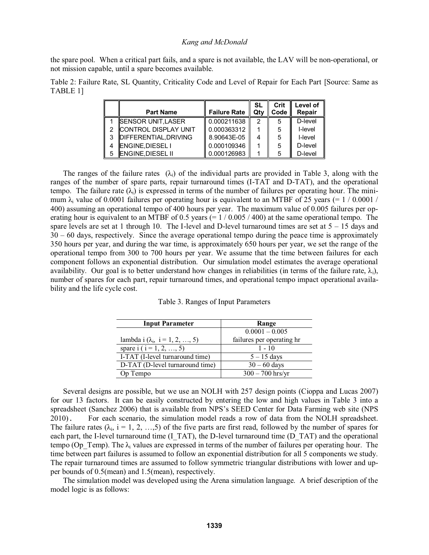the spare pool. When a critical part fails, and a spare is not available, the LAV will be non-operational, or not mission capable, until a spare becomes available.

Table 2: Failure Rate, SL Quantity, Criticality Code and Level of Repair for Each Part [Source: Same as TABLE 1]

| <b>Part Name</b>            | <b>Failure Rate</b> | <b>SL</b><br>Qty | Crit<br>Code | Level of<br>Repair |
|-----------------------------|---------------------|------------------|--------------|--------------------|
| <b>ISENSOR UNIT.LASER</b>   | 0.000211638         | 2                | 5            | D-level            |
| <b>CONTROL DISPLAY UNIT</b> | 0.000363312         |                  | 5            | I-level            |
| DIFFERENTIAL, DRIVING       | 8.90643E-05         | 4                | 5            | I-level            |
| ENGINE, DIESEL I            | 0.000109346         |                  | 5            | D-level            |
| <b>ENGINE.DIESEL II</b>     | 0.000126983         |                  | 5            | D-level            |

The ranges of the failure rates  $(\lambda_i)$  of the individual parts are provided in Table 3, along with the ranges of the number of spare parts, repair turnaround times (I-TAT and D-TAT), and the operational tempo. The failure rate  $(\lambda_i)$  is expressed in terms of the number of failures per operating hour. The minimum  $\lambda_i$  value of 0.0001 failures per operating hour is equivalent to an MTBF of 25 years (= 1 / 0.0001 / 400) assuming an operational tempo of 400 hours per year. The maximum value of 0.005 failures per operating hour is equivalent to an MTBF of 0.5 years  $(= 1 / 0.005 / 400)$  at the same operational tempo. The spare levels are set at 1 through 10. The I-level and D-level turnaround times are set at  $5 - 15$  days and  $30 - 60$  days, respectively. Since the average operational tempo during the peace time is approximately 350 hours per year, and during the war time, is approximately 650 hours per year, we set the range of the operational tempo from 300 to 700 hours per year. We assume that the time between failures for each component follows an exponential distribution. Our simulation model estimates the average operational availability. Our goal is to better understand how changes in reliabilities (in terms of the failure rate,  $\lambda_i$ ), number of spares for each part, repair turnaround times, and operational tempo impact operational availability and the life cycle cost.

|  |  |  | Table 3. Ranges of Input Parameters |
|--|--|--|-------------------------------------|
|--|--|--|-------------------------------------|

| <b>Input Parameter</b>                | Range                     |
|---------------------------------------|---------------------------|
|                                       | $0.0001 - 0.005$          |
| lambda i $(\lambda_i, i = 1, 2, , 5)$ | failures per operating hr |
| spare i $(i = 1, 2, , 5)$             | $1 - 10$                  |
| I-TAT (I-level turnaround time)       | $5 - 15$ days             |
| D-TAT (D-level turnaround time)       | $30 - 60$ days            |
| Op Tempo                              | $300 - 700$ hrs/yr        |

 Several designs are possible, but we use an NOLH with 257 design points (Cioppa and Lucas 2007) for our 13 factors. It can be easily constructed by entering the low and high values in Table 3 into a spreadsheet (Sanchez 2006) that is available from NPS's SEED Center for Data Farming web site (NPS 2010). For each scenario, the simulation model reads a row of data from the NOLH spreadsheet. The failure rates  $(\lambda_i, i = 1, 2, ..., 5)$  of the five parts are first read, followed by the number of spares for each part, the I-level turnaround time (I\_TAT), the D-level turnaround time (D\_TAT) and the operational tempo (Op Temp). The  $\lambda_i$  values are expressed in terms of the number of failures per operating hour. The time between part failures is assumed to follow an exponential distribution for all 5 components we study. The repair turnaround times are assumed to follow symmetric triangular distributions with lower and upper bounds of 0.5(mean) and 1.5(mean), respectively.

 The simulation model was developed using the Arena simulation language. A brief description of the model logic is as follows: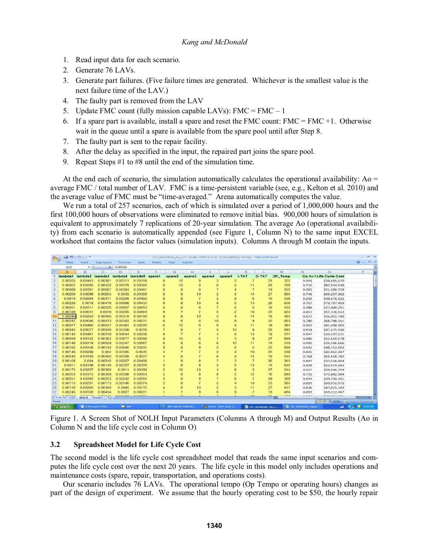- 1. Read input data for each scenario.
- 2. Generate 76 LAVs.
- 3. Generate part failures. (Five failure times are generated. Whichever is the smallest value is the next failure time of the LAV.)
- 4. The faulty part is removed from the LAV
- 5. Update FMC count (fully mission capable LAVs): FMC = FMC  $-1$
- 6. If a spare part is available, install a spare and reset the FMC count: FMC = FMC +1. Otherwise wait in the queue until a spare is available from the spare pool until after Step 8.
- 7. The faulty part is sent to the repair facility.
- 8. After the delay as specified in the input, the repaired part joins the spare pool.
- 9. Repeat Steps #1 to #8 until the end of the simulation time.

At the end each of scenario, the simulation automatically calculates the operational availability:  $Ao =$ average FMC / total number of LAV. FMC is a time-persistent variable (see, e.g., Kelton et al. 2010) and the average value of FMC must be "time-averaged." Arena automatically computes the value.

We run a total of 257 scenarios, each of which is simulated over a period of 1,000,000 hours and the first 100,000 hours of observations were eliminated to remove initial bias. 900,000 hours of simulation is equivalent to approximately 7 replications of 20-year simulation. The average Ao (operational availability) from each scenario is automatically appended (see Figure 1, Column N) to the same input EXCEL worksheet that contains the factor values (simulation inputs). Columns A through M contain the inputs.

| <b>B</b>       |                           | $-3 - (4 - 7)$     |                    |               |                |               |                            | LAV Simulation Ao LCC results-20091124.xls [Compatibility Mode] - Microsoft Excel |        |                               |                |                |                        |                |                      |                         | $\pi$ $\times$                   |              |
|----------------|---------------------------|--------------------|--------------------|---------------|----------------|---------------|----------------------------|-----------------------------------------------------------------------------------|--------|-------------------------------|----------------|----------------|------------------------|----------------|----------------------|-------------------------|----------------------------------|--------------|
|                | Home                      | Insert             | Page Layout        | Formulas      | Data           | <b>Review</b> | View                       | Add-Ins                                                                           |        |                               |                |                |                        |                |                      |                         | $\pi$ $\times$<br>$\circledcirc$ |              |
|                | A10                       | $ ($               |                    | $f_*$ 0.00046 |                |               |                            |                                                                                   |        |                               |                |                |                        |                |                      |                         |                                  | $\mathbf{x}$ |
|                | $\mathsf{A}$              | B                  | C                  | D             | E              | F             | G                          | н                                                                                 |        |                               |                | K              |                        | М              | N                    | $\circ$                 | P                                |              |
|                | lambda1                   | lambda2            | lambda3            | lambda4       | lambda5 spare1 |               | spare2                     | spare3                                                                            | spare4 | spare5                        |                | I-TAT          | D-TAT                  | <b>DP_Temp</b> |                      | Op Avil Life Cycle Cost |                                  |              |
| $\overline{2}$ | 0.00205                   | 0.00443            | 0.00301            | 0.00311       | 0.00318        |               | 9<br>10                    | $\overline{9}$                                                                    |        | 3                             | $\overline{2}$ | $\overline{7}$ | 21                     | 325            | 0.941                | \$38,681,670            |                                  |              |
| 3              | 0.00067                   | 0.00205            | 0.00422            | 0.00479       | 0.00362        |               | 6<br>10                    | 9                                                                                 |        | 6                             | 6              | 11             | 26                     | 700            | 0.710                | \$82,934,546            |                                  |              |
| $\overline{4}$ | 0.00088                   | 0.00301            | 0.00067            | 0.00284       | 0.00481        |               | 8                          | 9<br>9                                                                            |        | $\overline{7}$                | $\overline{4}$ | $\overline{7}$ | 19                     | 352            | 0.962                | \$31,190,729            |                                  |              |
| 5              | 0.00209                   | 0.00088            | 0.00205            | 0.0032        | 0.00368        |               | 8                          | 9<br>10                                                                           |        | $\overline{2}$                | 6              | 14             | 27                     | 686            | 0.746                | \$66,257,962            |                                  |              |
| 6              | 0.0019                    | 0.00284            | 0.00311            | 0.00209       | 0.00466        |               | R                          | 8<br>$\overline{7}$                                                               |        | $\overline{2}$                | 8              | 6              | 16                     | 428            | 0.959                | \$48,670,922            |                                  |              |
| $\overline{7}$ | 0.00226                   | 0.0019             | 0.00479            | 0.00088       | 0.00433        |               | 9                          | 8<br>10                                                                           |        | 8                             | 5              | 13             | 26                     | 636            | 0.707                | \$79,707,493            |                                  |              |
| 8              | 0.00031                   | 0.00311            | 0.00226            | 0.00067       | 0.00263        |               | 6                          | g<br>6                                                                            |        | $\overline{7}$                | 6              | 5              | 19                     | 423            | 0.988                | \$37,400,291            |                                  |              |
| $\overline{9}$ | 0.00199                   | 0.00031            | 0.0019             | 0.00205       | 0.00464        |               | 8                          | $\overline{7}$<br>$\overline{7}$                                                  |        | 5                             | $\overline{2}$ | 10             | 23                     | 623            | 0.813                | \$57,726,022            |                                  |              |
| 10             | 0.00046                   | 0.00263            | 0.00466            | 0.00318       | 0.00199        |               | 8                          | 8<br>10                                                                           |        | 3                             | $\overline{4}$ | 14             | 18                     | 483            | 0.813                | \$56,452,740            |                                  |              |
| 11             | 0.00247                   | 0.00046            | 0.00433            | 0.00362       | 0.00031        |               | $\epsilon$                 | $\overline{6}$<br>6                                                               | 10     |                               | 8              | $\overline{9}$ | 25                     | 603            | 0.780                | \$68,798,511            |                                  |              |
| 12             | 0.00077                   | 0.00466            | 0.00247            | 0.00481       | 0.00226        |               | $\epsilon$<br>10           | 6                                                                                 |        | $\overline{9}$                | $\overline{4}$ | 11             | 18                     | 384            | 0.952                | \$41,400,505            |                                  |              |
| 13             | 0.00044                   | 0.00077            | 0.00046            | 0.00368       | 0.0019         |               | $\overline{7}$             | $\overline{7}$<br>8                                                               |        | 5                             | 10             | $\bf{9}$       | 22                     | 692            | 0.918                | \$47,175,546            |                                  |              |
| 14             | 0.00142                   | 0.00481            | 0.00318            | 0.00044       | 0.00209        |               | 8                          | $\overline{7}$<br>$\overline{7}$                                                  |        | $\overline{a}$                | $\overline{9}$ | 13             | 18                     | 317            | 0.947                | \$34,597,531            |                                  |              |
| 15             | 0.00029                   | 0.00142            | 0.00362            | 0.00077       | 0.00088        |               | 8<br>10                    | 6                                                                                 |        | $\overline{7}$                | 3              | $\overline{9}$ | 27                     | 569            | 0.886                | \$52,669,678            |                                  |              |
| 16             | 0.00148                   | 0.00318            | 0.00029            | 0.00247       | 0.00067        |               | 6                          | 6<br>8                                                                            |        | 8                             | 10             | 11             | 19                     | 319            | 0.995                | \$24,596,666            |                                  |              |
| 17             | 0.00192                   | 0.00148            | 0.00142            | 0.00046       | 0.00205        |               | 8                          | 9<br>$\overline{9}$                                                               |        | $\overline{2}$                | 6              | 5              | 23                     | 609            | 0.942                | \$48,712,092            |                                  |              |
| 18             | 0.00146                   | 0.00268            | 0.004              | 0.00395       | 0.0045         |               | 4                          | $\overline{7}$<br>$\overline{7}$                                                  |        | $\overline{2}$                | $\overline{4}$ | 10             | 25                     | 348            | 0.845                | \$42,862,447            |                                  |              |
| 19             | 0.00242                   | 0.00146            | 0.00402            | 0.00309       | 0.0027         |               | 4                          | $\overline{7}$<br>9                                                               |        | 8                             | 8              | 14             | 19                     | 544            | 0.768                | \$64,168,782            |                                  |              |
| 20             | 0.00108                   | 0.004              | 0.00242            | 0.00257       | 0.00408        | 1             |                            | 8<br>9                                                                            |        | $\overline{7}$                | 3              | $\overline{7}$ | 26                     | 363            | 0.897                | \$37,536,664            |                                  |              |
| 21             | 0.0011                    | 0.00108            | 0.00146            | 0.00337       | 0.00376        |               | 3                          | $\overline{9}$<br>8                                                               |        | 5                             | 5              | 13             | 15                     | 642            | 0.908                | \$54,919,962            |                                  |              |
| 22             | 0.00173                   | 0.00257            | 0.00395            | 0.0011        | 0.00399        |               | $\overline{2}$<br>10       | 10                                                                                |        | $\overline{4}$                | $\mathbf{B}$   | 5              | 27                     | 344            | 0.927                | \$39,960,759            |                                  |              |
| 23             | 0.00253                   | 0.00173            | 0.00309            | 0.00108       | 0.00454        |               | $\overline{2}$             | 9<br>8                                                                            |        | $\overline{B}$                | $\overline{2}$ | 12             | 16                     | 680            | 0.735                | \$72,882,984            |                                  |              |
| 24             | 0.00201                   | 0.00395            | 0.00253            | 0.00242       | 0.00265        |               | 5                          | 8<br>8                                                                            |        | $\overline{7}$                | 8              | $\overline{7}$ | 28                     | 369            | 0.944                | \$39,750,101            |                                  |              |
| 25             | 0.00115                   | 0.00201            | 0.00173            | 0.00146       | 0.00374        |               | $\overline{2}$             | $\overline{7}$<br>8                                                               |        | 5                             | $\overline{4}$ | 10             | 23                     | 594            | 0.859                | \$50,910,975            |                                  |              |
| 26             | 0.00136                   | 0.00265            | 0.00399            | 0.0045        | 0.00115        |               | $\overline{4}$             | 10<br>6                                                                           |        | $\overline{2}$                | 5              | 11             | 27                     | 417            | 0.836                | \$47,825,183            |                                  |              |
| 27             | 0.00245                   | 0.00136            | 0.00454            | 0.0027        | 0.00201        |               |                            | $\overline{7}$<br>$\overline{9}$                                                  |        | 8                             | $\bf{9}$       | $\overline{7}$ | 19                     | 494            | 0.859                | \$59,212,967            |                                  |              |
| $\sim$         | $H \leftarrow H$ $H$ $AN$ | <b>NOLH</b> Sheet1 | ு                  | 00100         | 0.0005         |               |                            |                                                                                   |        |                               |                | $\overline{1}$ | $\sim$                 |                | $\sim$               | $\lambda$               |                                  |              |
| Ready          |                           |                    |                    |               |                |               |                            |                                                                                   |        |                               |                |                |                        |                |                      | Ⅲ 凹 110% ←              | $\overline{C}$                   | $\bigoplus$  |
|                | <b>Start</b>              |                    | 4 Microsoft Office | <b>De</b> JMP |                |               | <b>E JMP (NAVAL POSTGR</b> |                                                                                   |        | <b>Z</b> Arena - [LAV_final_2 |                |                | EL LAV Simulation Ao L |                | LAV_Simulation_Input | mais:                   | <b>C</b>       8:39 PM           |              |

Figure 1. A Screen Shot of NOLH Input Parameters (Columns A through M) and Output Results (Ao in Column N and the life cycle cost in Column O)

## **3.2 Spreadsheet Model for Life Cycle Cost**

The second model is the life cycle cost spreadsheet model that reads the same input scenarios and computes the life cycle cost over the next 20 years. The life cycle in this model only includes operations and maintenance costs (spare, repair, transportation, and operations costs).

 Our scenario includes 76 LAVs. The operational tempo (Op Tempo or operating hours) changes as part of the design of experiment. We assume that the hourly operating cost to be \$50, the hourly repair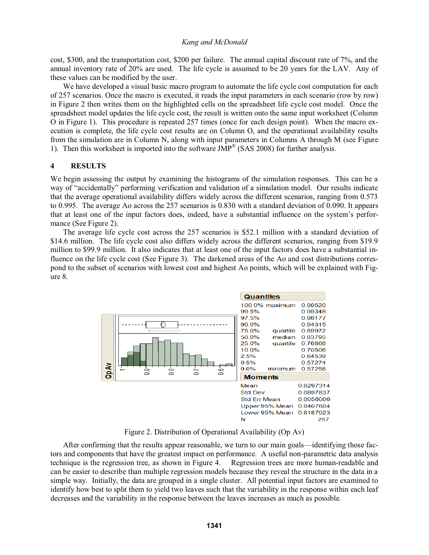cost, \$300, and the transportation cost, \$200 per failure. The annual capital discount rate of 7%, and the annual inventory rate of 20% are used. The life cycle is assumed to be 20 years for the LAV. Any of these values can be modified by the user.

We have developed a visual basic macro program to automate the life cycle cost computation for each of 257 scenarios. Once the macro is executed, it reads the input parameters in each scenario (row by row) in Figure 2 then writes them on the highlighted cells on the spreadsheet life cycle cost model. Once the spreadsheet model updates the life cycle cost, the result is written onto the same input worksheet (Column O in Figure 1). This procedure is repeated 257 times (once for each design point). When the macro execution is complete, the life cycle cost results are on Column O, and the operational availability results from the simulation are in Column N, along with input parameters in Columns A through M (see Figure 1). Then this worksheet is imported into the software JMP® (SAS 2008) for further analysis.

## **4 RESULTS**

We begin assessing the output by examining the histograms of the simulation responses. This can be a way of "accidentally" performing verification and validation of a simulation model. Our results indicate that the average operational availability differs widely across the different scenarios, ranging from 0.573 to 0.995. The average Ao across the 257 scenarios is 0.830 with a standard deviation of 0.090. It appears that at least one of the input factors does, indeed, have a substantial influence on the system's performance (See Figure 2).

 The average life cycle cost across the 257 scenarios is \$52.1 million with a standard deviation of \$14.6 million. The life cycle cost also differs widely across the different scenarios, ranging from \$19.9 million to \$99.9 million. It also indicates that at least one of the input factors does have a substantial influence on the life cycle cost (See Figure 3). The darkened areas of the Ao and cost distributions correspond to the subset of scenarios with lowest cost and highest Ao points, which will be explained with Figure 8.



Figure 2. Distribution of Operational Availability (Op Av)

After confirming that the results appear reasonable, we turn to our main goals—identifying those factors and components that have the greatest impact on performance. A useful non-parametric data analysis technique is the regression tree, as shown in Figure 4. Regression trees are more human-readable and can be easier to describe than multiple regression models because they reveal the structure in the data in a simple way. Initially, the data are grouped in a single cluster. All potential input factors are examined to identify how best to split them to yield two leaves such that the variability in the response within each leaf decreases and the variability in the response between the leaves increases as much as possible.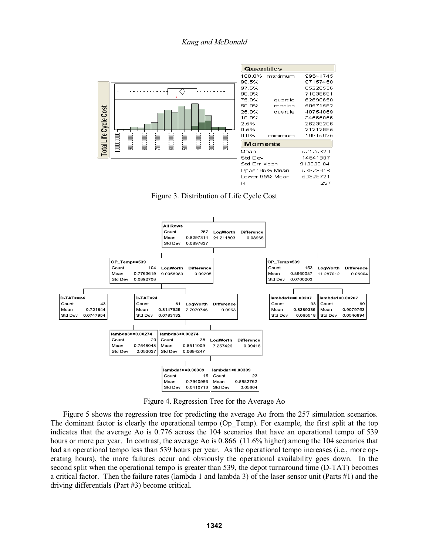





Figure 4. Regression Tree for the Average Ao

 Figure 5 shows the regression tree for predicting the average Ao from the 257 simulation scenarios. The dominant factor is clearly the operational tempo (Op\_Temp). For example, the first split at the top indicates that the average Ao is 0.776 across the 104 scenarios that have an operational tempo of 539 hours or more per year. In contrast, the average Ao is 0.866 (11.6% higher) among the 104 scenarios that had an operational tempo less than 539 hours per year. As the operational tempo increases (i.e., more operating hours), the more failures occur and obviously the operational availability goes down. In the second split when the operational tempo is greater than 539, the depot turnaround time (D-TAT) becomes a critical factor. Then the failure rates (lambda 1 and lambda 3) of the laser sensor unit (Parts #1) and the driving differentials (Part #3) become critical.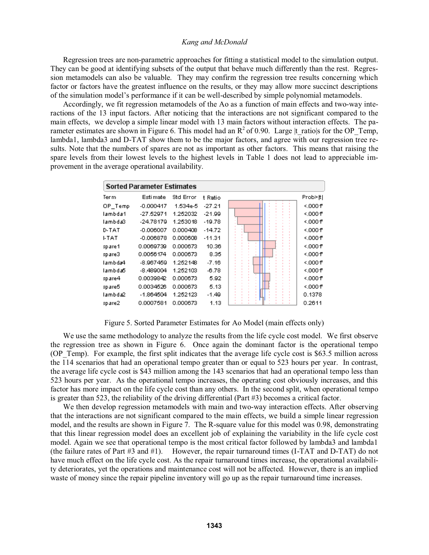Regression trees are non-parametric approaches for fitting a statistical model to the simulation output. They can be good at identifying subsets of the output that behave much differently than the rest. Regression metamodels can also be valuable. They may confirm the regression tree results concerning which factor or factors have the greatest influence on the results, or they may allow more succinct descriptions of the simulation model's performance if it can be well-described by simple polynomial metamodels.

 Accordingly, we fit regression metamodels of the Ao as a function of main effects and two-way interactions of the 13 input factors. After noticing that the interactions are not significant compared to the main effects, we develop a simple linear model with 13 main factors without interaction effects. The parameter estimates are shown in Figure 6. This model had an  $R^2$  of 0.90. Large |t\_ratio|s for the OP\_Temp, lambda1, lambda3 and D-TAT show them to be the major factors, and agree with our regression tree results. Note that the numbers of spares are not as important as other factors. This means that raising the spare levels from their lowest levels to the highest levels in Table 1 does not lead to appreciable improvement in the average operational availability.

| <b>Sorted Parameter Estimates</b> |             |           |          |   |             |  |  |
|-----------------------------------|-------------|-----------|----------|---|-------------|--|--|
| Term                              | Esti mate   | Std Error | t Ratio  |   | Prob> t     |  |  |
| OP Temp                           | $-0.000417$ | 1.534e-5  | $-27.21$ |   | $<000$ $F$  |  |  |
| lambda1                           | $-27.52971$ | 1.252032  | $-21.99$ |   | <.000个      |  |  |
| lambda3                           | $-24.78179$ | 1.253018  | $-19.78$ |   | <.000f      |  |  |
| D-TAT                             | $-0.006007$ | 0.000408  | $-14.72$ |   | $<000$ $F$  |  |  |
| I-TAT                             | $-0.006878$ | 0.000608  | $-11.31$ |   | <.000个      |  |  |
| spare1                            | 0.0069739   | 0.000673  | 10.36    |   | <.000个      |  |  |
| sp are3                           | 0.0056174   | 0.000673  | 8.35     |   | $<000$ $f$  |  |  |
| lambda4                           | $-8.967459$ | 1.252148  | $-7.16$  |   | $<.000$ $F$ |  |  |
| lambdæ5                           | $-8.489004$ | 1.252103  | $-6.78$  |   | <.000f      |  |  |
| sp are 4                          | 0.0039842   | 0.000673  | 5.92     |   | $<000$ $f$  |  |  |
| sp are 5                          | 0.0034526   | 0.000673  | 5.13     |   | $<000$ $f$  |  |  |
| lambda2                           | -1.864504   | 1.252123  | $-1.49$  | ٠ | 0.1378      |  |  |
| spare2                            | 0.0007581   | 0.000673  | 1.13     |   | 0.2611      |  |  |

Figure 5. Sorted Parameter Estimates for Ao Model (main effects only)

 We use the same methodology to analyze the results from the life cycle cost model. We first observe the regression tree as shown in Figure 6. Once again the dominant factor is the operational tempo (OP\_Temp). For example, the first split indicates that the average life cycle cost is \$63.5 million across the 114 scenarios that had an operational tempo greater than or equal to 523 hours per year. In contrast, the average life cycle cost is \$43 million among the 143 scenarios that had an operational tempo less than 523 hours per year. As the operational tempo increases, the operating cost obviously increases, and this factor has more impact on the life cycle cost than any others. In the second split, when operational tempo is greater than 523, the reliability of the driving differential (Part #3) becomes a critical factor.

 We then develop regression metamodels with main and two-way interaction effects. After observing that the interactions are not significant compared to the main effects, we build a simple linear regression model, and the results are shown in Figure 7. The R-square value for this model was 0.98, demonstrating that this linear regression model does an excellent job of explaining the variability in the life cycle cost model. Again we see that operational tempo is the most critical factor followed by lambda3 and lambda1 (the failure rates of Part #3 and #1). However, the repair turnaround times (I-TAT and D-TAT) do not have much effect on the life cycle cost. As the repair turnaround times increase, the operational availability deteriorates, yet the operations and maintenance cost will not be affected. However, there is an implied waste of money since the repair pipeline inventory will go up as the repair turnaround time increases.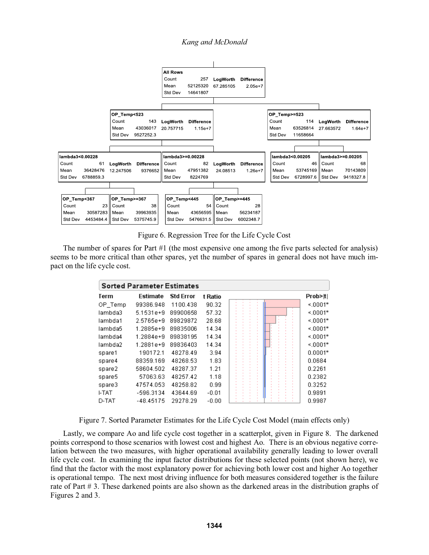

Figure 6. Regression Tree for the Life Cycle Cost

 The number of spares for Part #1 (the most expensive one among the five parts selected for analysis) seems to be more critical than other spares, yet the number of spares in general does not have much impact on the life cycle cost.

| <b>Sorted Parameter Estimates</b> |             |                  |         |   |              |  |  |  |
|-----------------------------------|-------------|------------------|---------|---|--------------|--|--|--|
| Term                              | Estimate    | <b>Std Error</b> | t Ratio |   | Prob> t      |  |  |  |
| OP Temp                           | 99386.948   | 1100.438         | 90.32   |   | $\leq 0001*$ |  |  |  |
| lambda3                           | $5.1531e+9$ | 89900658         | 57.32   |   | $\leq 0001*$ |  |  |  |
| lambda1                           | 2.5765e+9   | 89829872         | 28.68   |   | $\leq 0001*$ |  |  |  |
| lambda5                           | $1.2885e+9$ | 89835006         | 14.34   |   | $\leq 0001*$ |  |  |  |
| lambda4                           | $1.2884e+9$ | 89838195         | 14.34   |   | $< 0001*$    |  |  |  |
| lambda2                           | 1.2881e+9   | 89836403         | 14.34   |   | $\leq 0001*$ |  |  |  |
| spare1                            | 190172.1    | 48278.49         | 3.94    |   | $0.0001*$    |  |  |  |
| spare4                            | 88359.169   | 48268.53         | 1.83    |   | 0.0684       |  |  |  |
| spare2                            | 58604.502   | 48287.37         | 1.21    |   | 0.2261       |  |  |  |
| spare5                            | 57063.63    | 48257.42         | 1.18    |   | 0.2382       |  |  |  |
| spare3                            | 47574.053   | 48258.82         | 0.99    |   | 0.3252       |  |  |  |
| I-TAT                             | -596.3134   | 43644.69         | $-0.01$ | ٠ | 0.9891       |  |  |  |
| D-TAT                             | $-48.45175$ | 29278.29         | $-0.00$ |   | 0.9987       |  |  |  |

Figure 7. Sorted Parameter Estimates for the Life Cycle Cost Model (main effects only)

 Lastly, we compare Ao and life cycle cost together in a scatterplot, given in Figure 8. The darkened points correspond to those scenarios with lowest cost and highest Ao. There is an obvious negative correlation between the two measures, with higher operational availability generally leading to lower overall life cycle cost. In examining the input factor distributions for these selected points (not shown here), we find that the factor with the most explanatory power for achieving both lower cost and higher Ao together is operational tempo. The next most driving influence for both measures considered together is the failure rate of Part # 3. These darkened points are also shown as the darkened areas in the distribution graphs of Figures 2 and 3.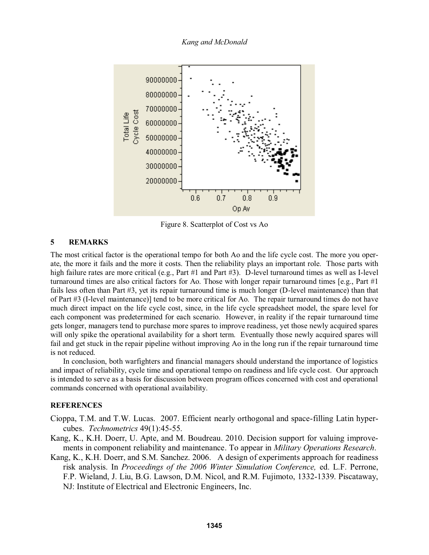*Kang and McDonald* 



Figure 8. Scatterplot of Cost vs Ao

#### **5 REMARKS**

The most critical factor is the operational tempo for both Ao and the life cycle cost. The more you operate, the more it fails and the more it costs. Then the reliability plays an important role. Those parts with high failure rates are more critical (e.g., Part #1 and Part #3). D-level turnaround times as well as I-level turnaround times are also critical factors for Ao. Those with longer repair turnaround times  $[e.g., Part #1]$ fails less often than Part #3, yet its repair turnaround time is much longer (D-level maintenance) than that of Part #3 (I-level maintenance)] tend to be more critical for Ao. The repair turnaround times do not have much direct impact on the life cycle cost, since, in the life cycle spreadsheet model, the spare level for each component was predetermined for each scenario. However, in reality if the repair turnaround time gets longer, managers tend to purchase more spares to improve readiness, yet those newly acquired spares will only spike the operational availability for a short term. Eventually those newly acquired spares will fail and get stuck in the repair pipeline without improving Ao in the long run if the repair turnaround time is not reduced.

 In conclusion, both warfighters and financial managers should understand the importance of logistics and impact of reliability, cycle time and operational tempo on readiness and life cycle cost. Our approach is intended to serve as a basis for discussion between program offices concerned with cost and operational commands concerned with operational availability.

#### **REFERENCES**

- Cioppa, T.M. and T.W. Lucas. 2007. Efficient nearly orthogonal and space-filling Latin hypercubes. *Technometrics* 49(1):45-55.
- Kang, K., K.H. Doerr, U. Apte, and M. Boudreau. 2010. Decision support for valuing improvements in component reliability and maintenance. To appear in *Military Operations Research*.
- Kang, K., K.H. Doerr, and S.M. Sanchez. 2006. A design of experiments approach for readiness risk analysis. In *Proceedings of the 2006 Winter Simulation Conference,* ed. L.F. Perrone, F.P. Wieland, J. Liu, B.G. Lawson, D.M. Nicol, and R.M. Fujimoto, 1332-1339. Piscataway, NJ: Institute of Electrical and Electronic Engineers, Inc.